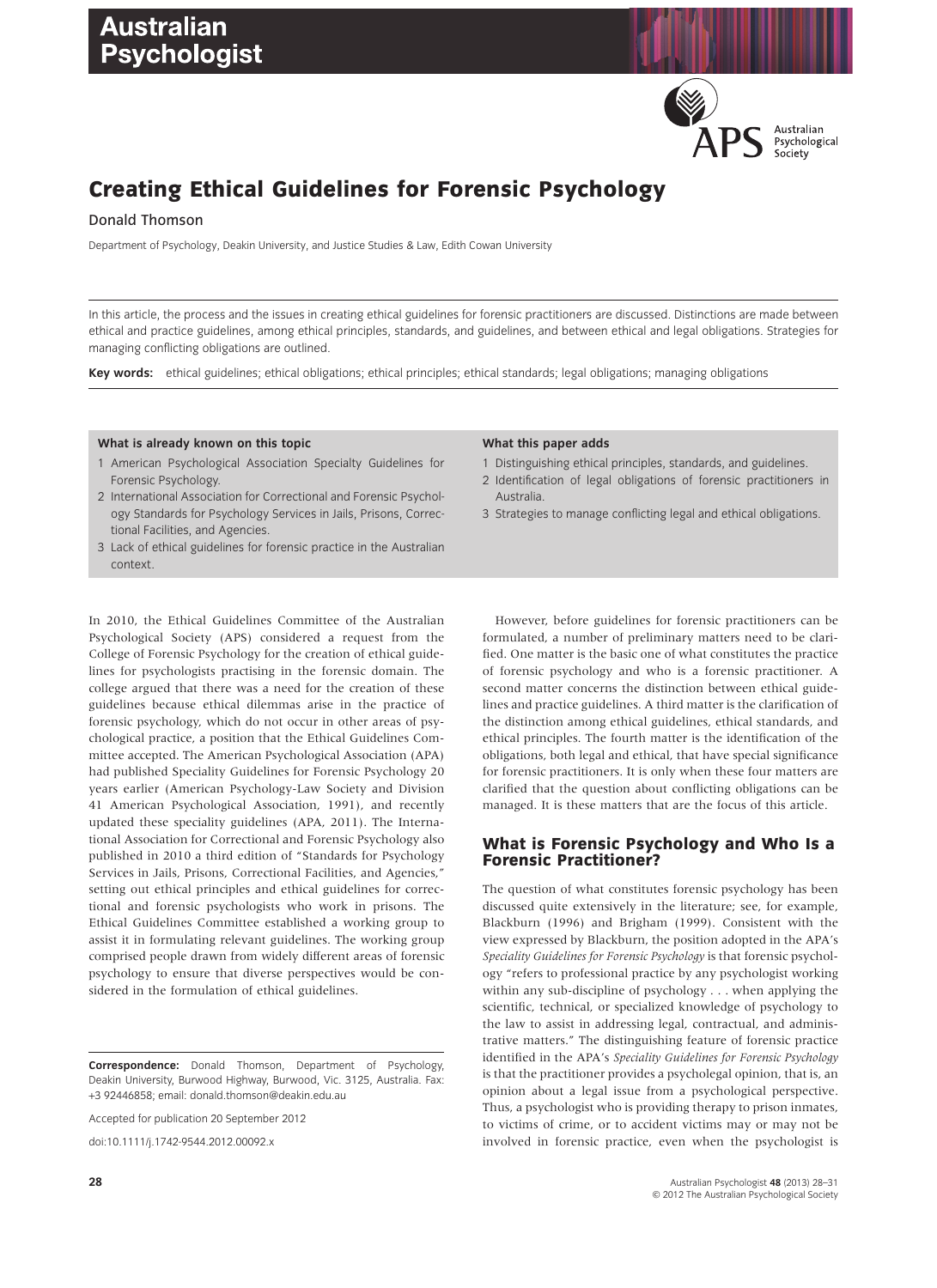

# **Creating Ethical Guidelines for Forensic Psychology**

## Donald Thomson

Department of Psychology, Deakin University, and Justice Studies & Law, Edith Cowan University

In this article, the process and the issues in creating ethical guidelines for forensic practitioners are discussed. Distinctions are made between ethical and practice guidelines, among ethical principles, standards, and guidelines, and between ethical and legal obligations. Strategies for managing conflicting obligations are outlined.

**Key words:** ethical guidelines; ethical obligations; ethical principles; ethical standards; legal obligations; managing obligations

#### **What is already known on this topic**

- 1 American Psychological Association Specialty Guidelines for Forensic Psychology.
- 2 International Association for Correctional and Forensic Psychology Standards for Psychology Services in Jails, Prisons, Correctional Facilities, and Agencies.
- 3 Lack of ethical guidelines for forensic practice in the Australian context.

In 2010, the Ethical Guidelines Committee of the Australian Psychological Society (APS) considered a request from the College of Forensic Psychology for the creation of ethical guidelines for psychologists practising in the forensic domain. The college argued that there was a need for the creation of these guidelines because ethical dilemmas arise in the practice of forensic psychology, which do not occur in other areas of psychological practice, a position that the Ethical Guidelines Committee accepted. The American Psychological Association (APA) had published Speciality Guidelines for Forensic Psychology 20 years earlier (American Psychology-Law Society and Division 41 American Psychological Association, 1991), and recently updated these speciality guidelines (APA, 2011). The International Association for Correctional and Forensic Psychology also published in 2010 a third edition of "Standards for Psychology Services in Jails, Prisons, Correctional Facilities, and Agencies," setting out ethical principles and ethical guidelines for correctional and forensic psychologists who work in prisons. The Ethical Guidelines Committee established a working group to assist it in formulating relevant guidelines. The working group comprised people drawn from widely different areas of forensic psychology to ensure that diverse perspectives would be considered in the formulation of ethical guidelines.

**Correspondence:** Donald Thomson, Department of Psychology, Deakin University, Burwood Highway, Burwood, Vic. 3125, Australia. Fax: +3 92446858; email: donald.thomson@deakin.edu.au

Accepted for publication 20 September 2012

doi:10.1111/j.1742-9544.2012.00092.x

#### **What this paper adds**

- 1 Distinguishing ethical principles, standards, and guidelines.
- 2 Identification of legal obligations of forensic practitioners in Australia.
- 3 Strategies to manage conflicting legal and ethical obligations.

However, before guidelines for forensic practitioners can be formulated, a number of preliminary matters need to be clarified. One matter is the basic one of what constitutes the practice of forensic psychology and who is a forensic practitioner. A second matter concerns the distinction between ethical guidelines and practice guidelines. A third matter is the clarification of the distinction among ethical guidelines, ethical standards, and ethical principles. The fourth matter is the identification of the obligations, both legal and ethical, that have special significance for forensic practitioners. It is only when these four matters are clarified that the question about conflicting obligations can be managed. It is these matters that are the focus of this article.

## **What is Forensic Psychology and Who Is a Forensic Practitioner?**

The question of what constitutes forensic psychology has been discussed quite extensively in the literature; see, for example, Blackburn (1996) and Brigham (1999). Consistent with the view expressed by Blackburn, the position adopted in the APA's *Speciality Guidelines for Forensic Psychology* is that forensic psychology "refers to professional practice by any psychologist working within any sub-discipline of psychology . . . when applying the scientific, technical, or specialized knowledge of psychology to the law to assist in addressing legal, contractual, and administrative matters." The distinguishing feature of forensic practice identified in the APA's *Speciality Guidelines for Forensic Psychology* is that the practitioner provides a psycholegal opinion, that is, an opinion about a legal issue from a psychological perspective. Thus, a psychologist who is providing therapy to prison inmates, to victims of crime, or to accident victims may or may not be involved in forensic practice, even when the psychologist is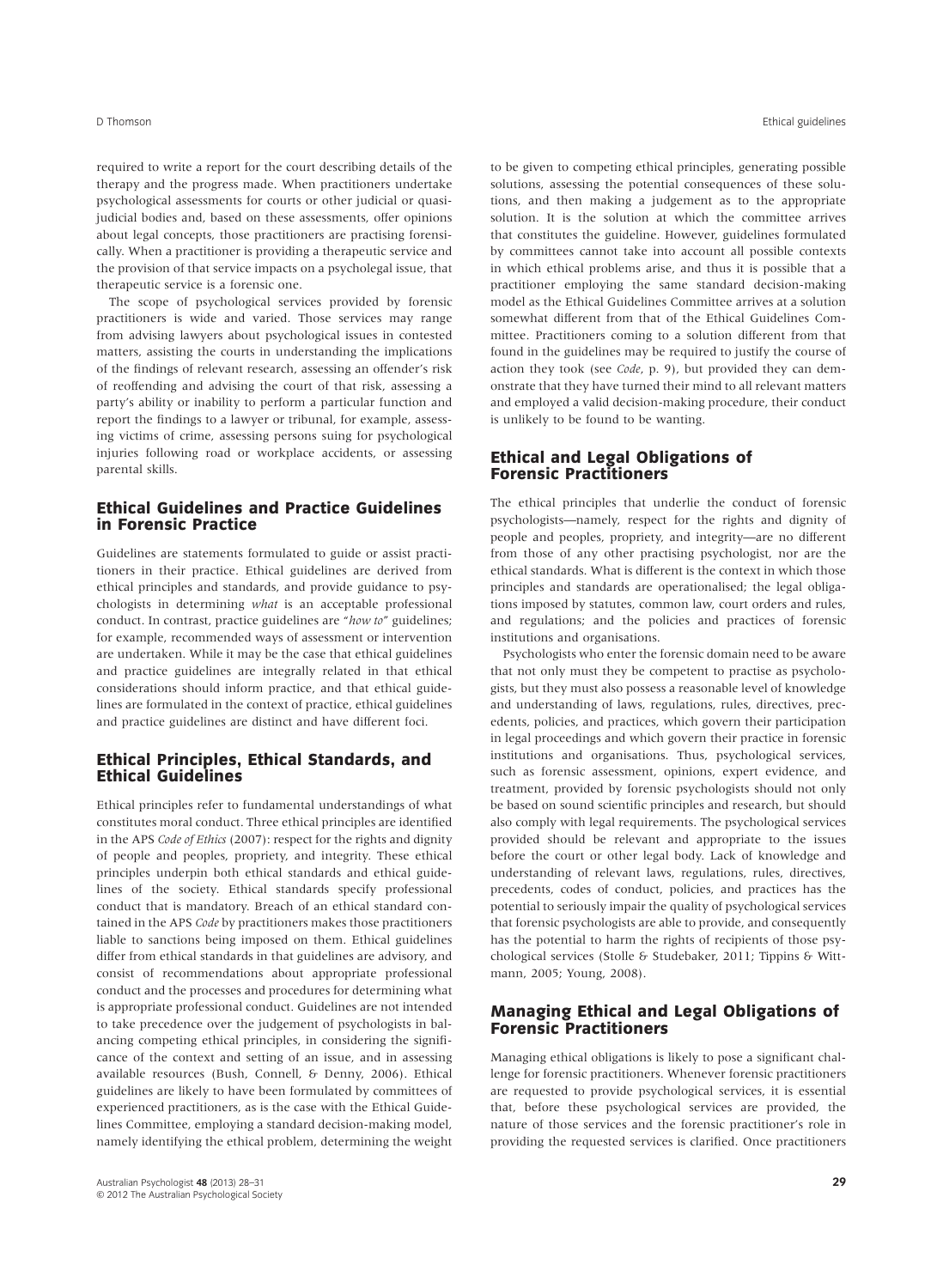required to write a report for the court describing details of the therapy and the progress made. When practitioners undertake psychological assessments for courts or other judicial or quasijudicial bodies and, based on these assessments, offer opinions about legal concepts, those practitioners are practising forensically. When a practitioner is providing a therapeutic service and the provision of that service impacts on a psycholegal issue, that therapeutic service is a forensic one.

The scope of psychological services provided by forensic practitioners is wide and varied. Those services may range from advising lawyers about psychological issues in contested matters, assisting the courts in understanding the implications of the findings of relevant research, assessing an offender's risk of reoffending and advising the court of that risk, assessing a party's ability or inability to perform a particular function and report the findings to a lawyer or tribunal, for example, assessing victims of crime, assessing persons suing for psychological injuries following road or workplace accidents, or assessing parental skills.

#### **Ethical Guidelines and Practice Guidelines in Forensic Practice**

Guidelines are statements formulated to guide or assist practitioners in their practice. Ethical guidelines are derived from ethical principles and standards, and provide guidance to psychologists in determining *what* is an acceptable professional conduct. In contrast, practice guidelines are "*how to*" guidelines; for example, recommended ways of assessment or intervention are undertaken. While it may be the case that ethical guidelines and practice guidelines are integrally related in that ethical considerations should inform practice, and that ethical guidelines are formulated in the context of practice, ethical guidelines and practice guidelines are distinct and have different foci.

## **Ethical Principles, Ethical Standards, and Ethical Guidelines**

Ethical principles refer to fundamental understandings of what constitutes moral conduct. Three ethical principles are identified in the APS *Code of Ethics* (2007): respect for the rights and dignity of people and peoples, propriety, and integrity. These ethical principles underpin both ethical standards and ethical guidelines of the society. Ethical standards specify professional conduct that is mandatory. Breach of an ethical standard contained in the APS *Code* by practitioners makes those practitioners liable to sanctions being imposed on them. Ethical guidelines differ from ethical standards in that guidelines are advisory, and consist of recommendations about appropriate professional conduct and the processes and procedures for determining what is appropriate professional conduct. Guidelines are not intended to take precedence over the judgement of psychologists in balancing competing ethical principles, in considering the significance of the context and setting of an issue, and in assessing available resources (Bush, Connell, & Denny, 2006). Ethical guidelines are likely to have been formulated by committees of experienced practitioners, as is the case with the Ethical Guidelines Committee, employing a standard decision-making model, namely identifying the ethical problem, determining the weight to be given to competing ethical principles, generating possible solutions, assessing the potential consequences of these solutions, and then making a judgement as to the appropriate solution. It is the solution at which the committee arrives that constitutes the guideline. However, guidelines formulated by committees cannot take into account all possible contexts in which ethical problems arise, and thus it is possible that a practitioner employing the same standard decision-making model as the Ethical Guidelines Committee arrives at a solution somewhat different from that of the Ethical Guidelines Committee. Practitioners coming to a solution different from that found in the guidelines may be required to justify the course of action they took (see *Code*, p. 9), but provided they can demonstrate that they have turned their mind to all relevant matters and employed a valid decision-making procedure, their conduct is unlikely to be found to be wanting.

#### **Ethical and Legal Obligations of Forensic Practitioners**

The ethical principles that underlie the conduct of forensic psychologists—namely, respect for the rights and dignity of people and peoples, propriety, and integrity—are no different from those of any other practising psychologist, nor are the ethical standards. What is different is the context in which those principles and standards are operationalised; the legal obligations imposed by statutes, common law, court orders and rules, and regulations; and the policies and practices of forensic institutions and organisations.

Psychologists who enter the forensic domain need to be aware that not only must they be competent to practise as psychologists, but they must also possess a reasonable level of knowledge and understanding of laws, regulations, rules, directives, precedents, policies, and practices, which govern their participation in legal proceedings and which govern their practice in forensic institutions and organisations. Thus, psychological services, such as forensic assessment, opinions, expert evidence, and treatment, provided by forensic psychologists should not only be based on sound scientific principles and research, but should also comply with legal requirements. The psychological services provided should be relevant and appropriate to the issues before the court or other legal body. Lack of knowledge and understanding of relevant laws, regulations, rules, directives, precedents, codes of conduct, policies, and practices has the potential to seriously impair the quality of psychological services that forensic psychologists are able to provide, and consequently has the potential to harm the rights of recipients of those psychological services (Stolle & Studebaker, 2011; Tippins & Wittmann, 2005; Young, 2008).

## **Managing Ethical and Legal Obligations of Forensic Practitioners**

Managing ethical obligations is likely to pose a significant challenge for forensic practitioners. Whenever forensic practitioners are requested to provide psychological services, it is essential that, before these psychological services are provided, the nature of those services and the forensic practitioner's role in providing the requested services is clarified. Once practitioners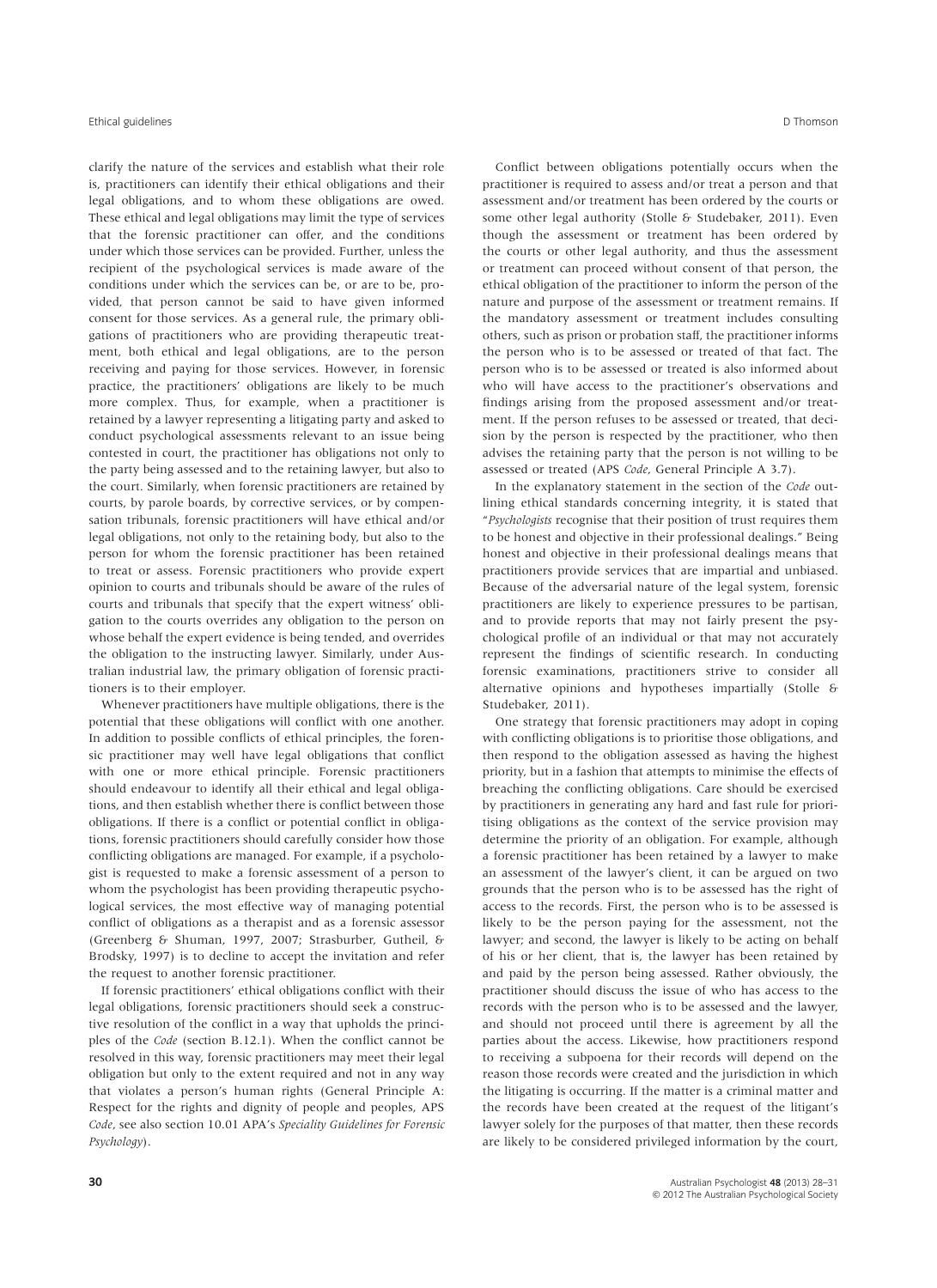clarify the nature of the services and establish what their role is, practitioners can identify their ethical obligations and their legal obligations, and to whom these obligations are owed. These ethical and legal obligations may limit the type of services that the forensic practitioner can offer, and the conditions under which those services can be provided. Further, unless the recipient of the psychological services is made aware of the conditions under which the services can be, or are to be, provided, that person cannot be said to have given informed consent for those services. As a general rule, the primary obligations of practitioners who are providing therapeutic treatment, both ethical and legal obligations, are to the person receiving and paying for those services. However, in forensic practice, the practitioners' obligations are likely to be much more complex. Thus, for example, when a practitioner is retained by a lawyer representing a litigating party and asked to conduct psychological assessments relevant to an issue being contested in court, the practitioner has obligations not only to the party being assessed and to the retaining lawyer, but also to the court. Similarly, when forensic practitioners are retained by courts, by parole boards, by corrective services, or by compensation tribunals, forensic practitioners will have ethical and/or legal obligations, not only to the retaining body, but also to the person for whom the forensic practitioner has been retained to treat or assess. Forensic practitioners who provide expert opinion to courts and tribunals should be aware of the rules of courts and tribunals that specify that the expert witness' obligation to the courts overrides any obligation to the person on whose behalf the expert evidence is being tended, and overrides the obligation to the instructing lawyer. Similarly, under Australian industrial law, the primary obligation of forensic practitioners is to their employer.

Whenever practitioners have multiple obligations, there is the potential that these obligations will conflict with one another. In addition to possible conflicts of ethical principles, the forensic practitioner may well have legal obligations that conflict with one or more ethical principle. Forensic practitioners should endeavour to identify all their ethical and legal obligations, and then establish whether there is conflict between those obligations. If there is a conflict or potential conflict in obligations, forensic practitioners should carefully consider how those conflicting obligations are managed. For example, if a psychologist is requested to make a forensic assessment of a person to whom the psychologist has been providing therapeutic psychological services, the most effective way of managing potential conflict of obligations as a therapist and as a forensic assessor (Greenberg & Shuman, 1997, 2007; Strasburber, Gutheil, & Brodsky, 1997) is to decline to accept the invitation and refer the request to another forensic practitioner.

If forensic practitioners' ethical obligations conflict with their legal obligations, forensic practitioners should seek a constructive resolution of the conflict in a way that upholds the principles of the *Code* (section B.12.1). When the conflict cannot be resolved in this way, forensic practitioners may meet their legal obligation but only to the extent required and not in any way that violates a person's human rights (General Principle A: Respect for the rights and dignity of people and peoples, APS *Code*, see also section 10.01 APA's *Speciality Guidelines for Forensic Psychology*).

Conflict between obligations potentially occurs when the practitioner is required to assess and/or treat a person and that assessment and/or treatment has been ordered by the courts or some other legal authority (Stolle & Studebaker, 2011). Even though the assessment or treatment has been ordered by the courts or other legal authority, and thus the assessment or treatment can proceed without consent of that person, the ethical obligation of the practitioner to inform the person of the nature and purpose of the assessment or treatment remains. If the mandatory assessment or treatment includes consulting others, such as prison or probation staff, the practitioner informs the person who is to be assessed or treated of that fact. The person who is to be assessed or treated is also informed about who will have access to the practitioner's observations and findings arising from the proposed assessment and/or treatment. If the person refuses to be assessed or treated, that decision by the person is respected by the practitioner, who then advises the retaining party that the person is not willing to be assessed or treated (APS *Code*, General Principle A 3.7).

In the explanatory statement in the section of the *Code* outlining ethical standards concerning integrity, it is stated that "*Psychologists* recognise that their position of trust requires them to be honest and objective in their professional dealings." Being honest and objective in their professional dealings means that practitioners provide services that are impartial and unbiased. Because of the adversarial nature of the legal system, forensic practitioners are likely to experience pressures to be partisan, and to provide reports that may not fairly present the psychological profile of an individual or that may not accurately represent the findings of scientific research. In conducting forensic examinations, practitioners strive to consider all alternative opinions and hypotheses impartially (Stolle & Studebaker, 2011).

One strategy that forensic practitioners may adopt in coping with conflicting obligations is to prioritise those obligations, and then respond to the obligation assessed as having the highest priority, but in a fashion that attempts to minimise the effects of breaching the conflicting obligations. Care should be exercised by practitioners in generating any hard and fast rule for prioritising obligations as the context of the service provision may determine the priority of an obligation. For example, although a forensic practitioner has been retained by a lawyer to make an assessment of the lawyer's client, it can be argued on two grounds that the person who is to be assessed has the right of access to the records. First, the person who is to be assessed is likely to be the person paying for the assessment, not the lawyer; and second, the lawyer is likely to be acting on behalf of his or her client, that is, the lawyer has been retained by and paid by the person being assessed. Rather obviously, the practitioner should discuss the issue of who has access to the records with the person who is to be assessed and the lawyer, and should not proceed until there is agreement by all the parties about the access. Likewise, how practitioners respond to receiving a subpoena for their records will depend on the reason those records were created and the jurisdiction in which the litigating is occurring. If the matter is a criminal matter and the records have been created at the request of the litigant's lawyer solely for the purposes of that matter, then these records are likely to be considered privileged information by the court,